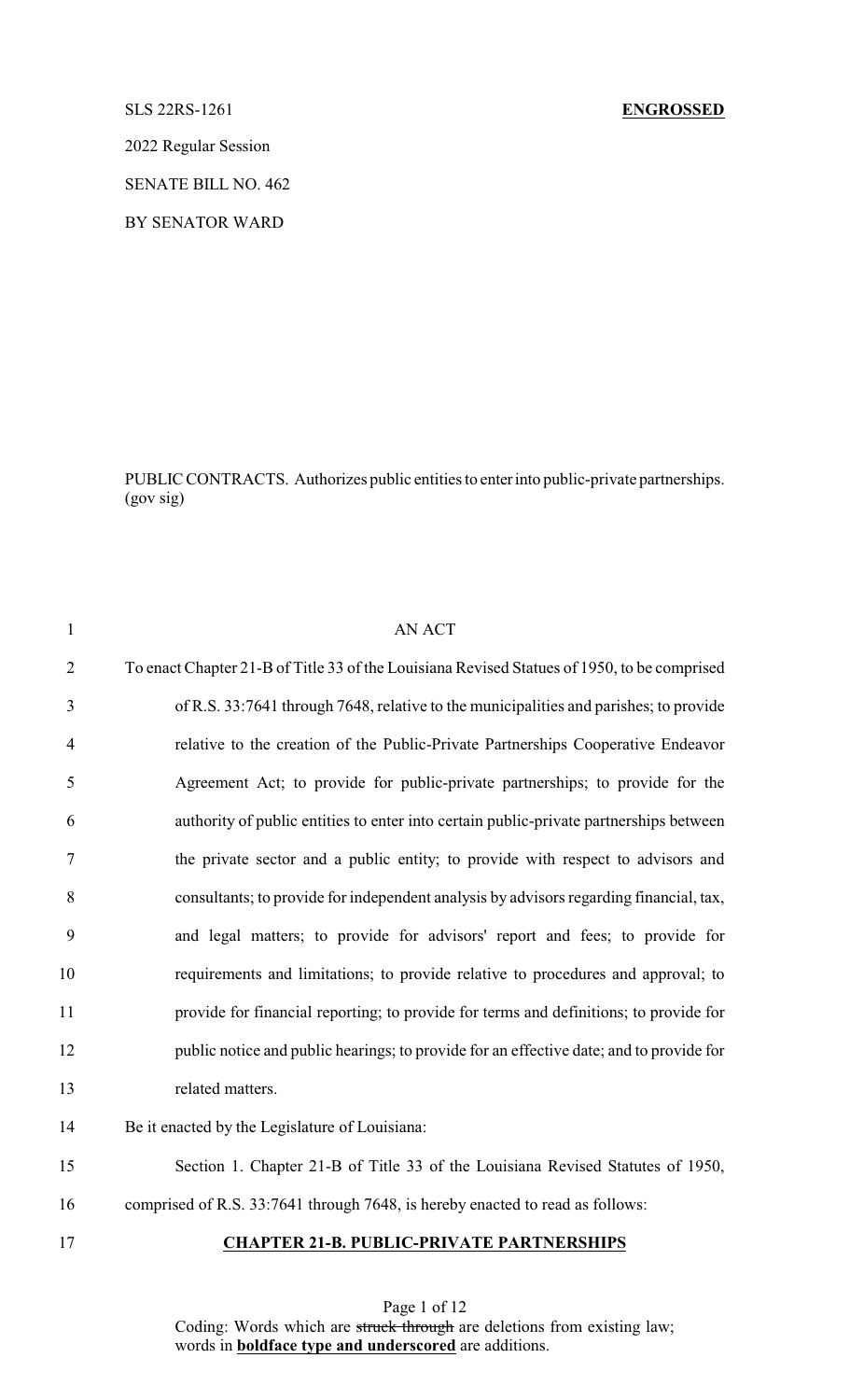## SLS 22RS-1261 **ENGROSSED**

2022 Regular Session

SENATE BILL NO. 462

BY SENATOR WARD

PUBLIC CONTRACTS. Authorizes public entities to enterinto public-private partnerships. (gov sig)

| $\mathbf{1}$   | <b>AN ACT</b>                                                                               |
|----------------|---------------------------------------------------------------------------------------------|
| $\overline{2}$ | To enact Chapter 21-B of Title 33 of the Louisiana Revised Statues of 1950, to be comprised |
| 3              | of R.S. 33:7641 through 7648, relative to the municipalities and parishes; to provide       |
| $\overline{4}$ | relative to the creation of the Public-Private Partnerships Cooperative Endeavor            |
| 5              | Agreement Act; to provide for public-private partnerships; to provide for the               |
| 6              | authority of public entities to enter into certain public-private partnerships between      |
| $\tau$         | the private sector and a public entity; to provide with respect to advisors and             |
| 8              | consultants; to provide for independent analysis by advisors regarding financial, tax,      |
| 9              | and legal matters; to provide for advisors' report and fees; to provide for                 |
| 10             | requirements and limitations; to provide relative to procedures and approval; to            |
| 11             | provide for financial reporting; to provide for terms and definitions; to provide for       |
| 12             | public notice and public hearings; to provide for an effective date; and to provide for     |
| 13             | related matters.                                                                            |
| 14             | Be it enacted by the Legislature of Louisiana:                                              |
| 15             | Section 1. Chapter 21-B of Title 33 of the Louisiana Revised Statutes of 1950,              |
| 16             | comprised of R.S. 33:7641 through 7648, is hereby enacted to read as follows:               |
| 17             | <b>CHAPTER 21-B. PUBLIC-PRIVATE PARTNERSHIPS</b>                                            |

Page 1 of 12 Coding: Words which are struck through are deletions from existing law; words in **boldface type and underscored** are additions.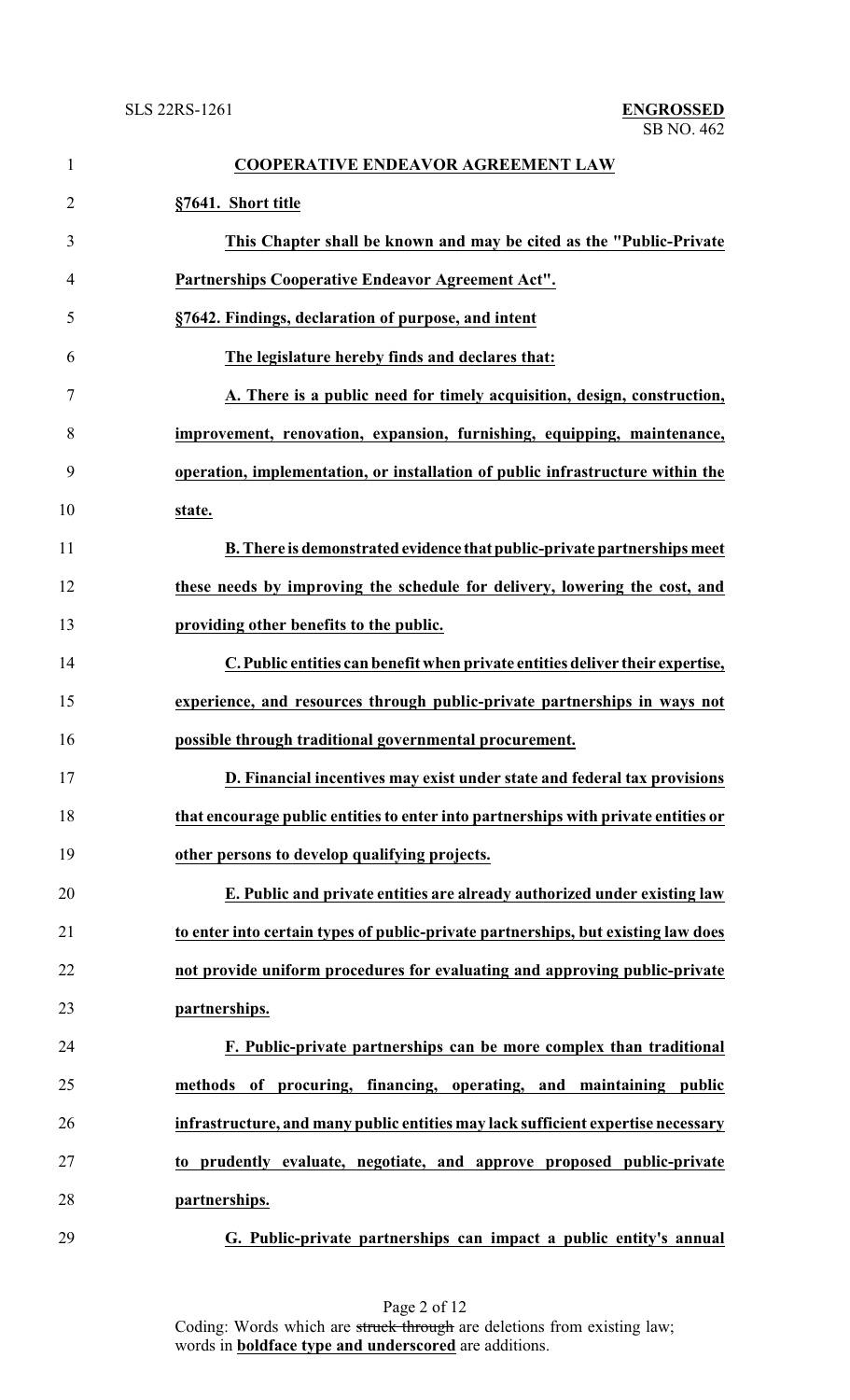| $\mathbf{1}$   | <b>COOPERATIVE ENDEAVOR AGREEMENT LAW</b>                                          |
|----------------|------------------------------------------------------------------------------------|
| $\overline{2}$ | §7641. Short title                                                                 |
| 3              | This Chapter shall be known and may be cited as the "Public-Private"               |
| 4              | Partnerships Cooperative Endeavor Agreement Act".                                  |
| 5              | §7642. Findings, declaration of purpose, and intent                                |
| 6              | The legislature hereby finds and declares that:                                    |
| 7              | A. There is a public need for timely acquisition, design, construction,            |
| 8              | improvement, renovation, expansion, furnishing, equipping, maintenance,            |
| 9              | operation, implementation, or installation of public infrastructure within the     |
| 10             | state.                                                                             |
| 11             | B. There is demonstrated evidence that public-private partnerships meet            |
| 12             | these needs by improving the schedule for delivery, lowering the cost, and         |
| 13             | providing other benefits to the public.                                            |
| 14             | C. Public entities can benefit when private entities deliver their expertise,      |
| 15             | experience, and resources through public-private partnerships in ways not          |
| 16             | possible through traditional governmental procurement.                             |
| 17             | D. Financial incentives may exist under state and federal tax provisions           |
| 18             | that encourage public entities to enter into partnerships with private entities or |
| 19             | other persons to develop qualifying projects.                                      |
| 20             | E. Public and private entities are already authorized under existing law           |
| 21             | to enter into certain types of public-private partnerships, but existing law does  |
| 22             | not provide uniform procedures for evaluating and approving public-private         |
| 23             | partnerships.                                                                      |
| 24             | F. Public-private partnerships can be more complex than traditional                |
| 25             | methods of procuring, financing, operating, and maintaining public                 |
| 26             | infrastructure, and many public entities may lack sufficient expertise necessary   |
| 27             | to prudently evaluate, negotiate, and approve proposed public-private              |
| 28             | partnerships.                                                                      |
| 29             | G. Public-private partnerships can impact a public entity's annual                 |

Page 2 of 12 Coding: Words which are struck through are deletions from existing law; words in **boldface type and underscored** are additions.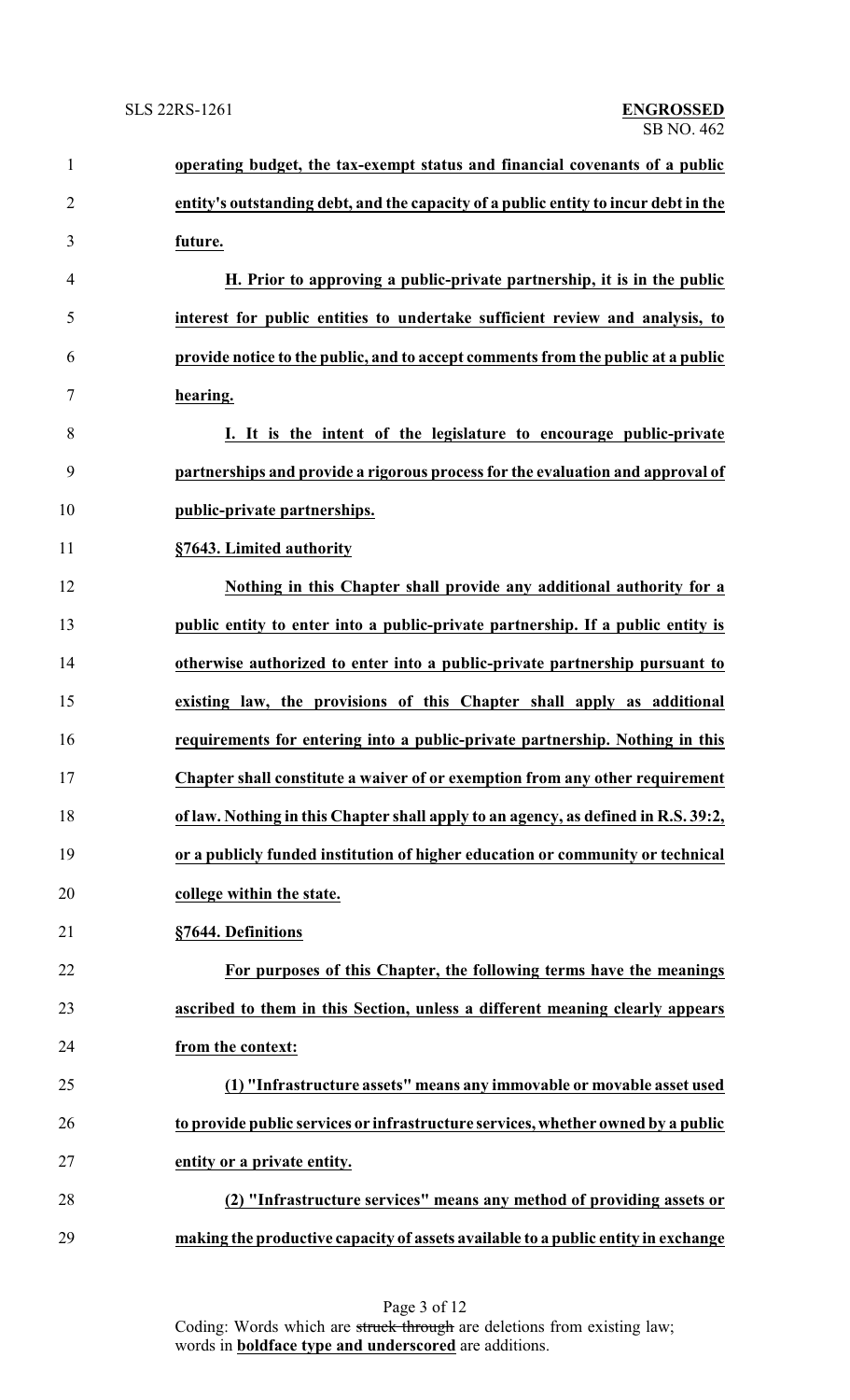| $\mathbf{1}$   | operating budget, the tax-exempt status and financial covenants of a public         |
|----------------|-------------------------------------------------------------------------------------|
| $\overline{2}$ | entity's outstanding debt, and the capacity of a public entity to incur debt in the |
| 3              | future.                                                                             |
| $\overline{4}$ | H. Prior to approving a public-private partnership, it is in the public             |
| 5              | interest for public entities to undertake sufficient review and analysis, to        |
| 6              | provide notice to the public, and to accept comments from the public at a public    |
| $\tau$         | hearing.                                                                            |
| 8              | I. It is the intent of the legislature to encourage public-private                  |
| 9              | partnerships and provide a rigorous process for the evaluation and approval of      |
| 10             | public-private partnerships.                                                        |
| 11             | §7643. Limited authority                                                            |
| 12             | Nothing in this Chapter shall provide any additional authority for a                |
| 13             | public entity to enter into a public-private partnership. If a public entity is     |
| 14             | otherwise authorized to enter into a public-private partnership pursuant to         |
| 15             | existing law, the provisions of this Chapter shall apply as additional              |
| 16             | requirements for entering into a public-private partnership. Nothing in this        |
| 17             | Chapter shall constitute a waiver of or exemption from any other requirement        |
| 18             | of law. Nothing in this Chapter shall apply to an agency, as defined in R.S. 39:2,  |
| 19             | or a publicly funded institution of higher education or community or technical      |
| 20             | college within the state.                                                           |
| 21             | §7644. Definitions                                                                  |
| 22             | For purposes of this Chapter, the following terms have the meanings                 |
| 23             | ascribed to them in this Section, unless a different meaning clearly appears        |
| 24             | from the context:                                                                   |
| 25             | (1) "Infrastructure assets" means any immovable or movable asset used               |
| 26             | to provide public services or infrastructure services, whether owned by a public    |
| 27             | entity or a private entity.                                                         |
| 28             | (2) "Infrastructure services" means any method of providing assets or               |
| 29             | making the productive capacity of assets available to a public entity in exchange   |

Page 3 of 12 Coding: Words which are struck through are deletions from existing law; words in **boldface type and underscored** are additions.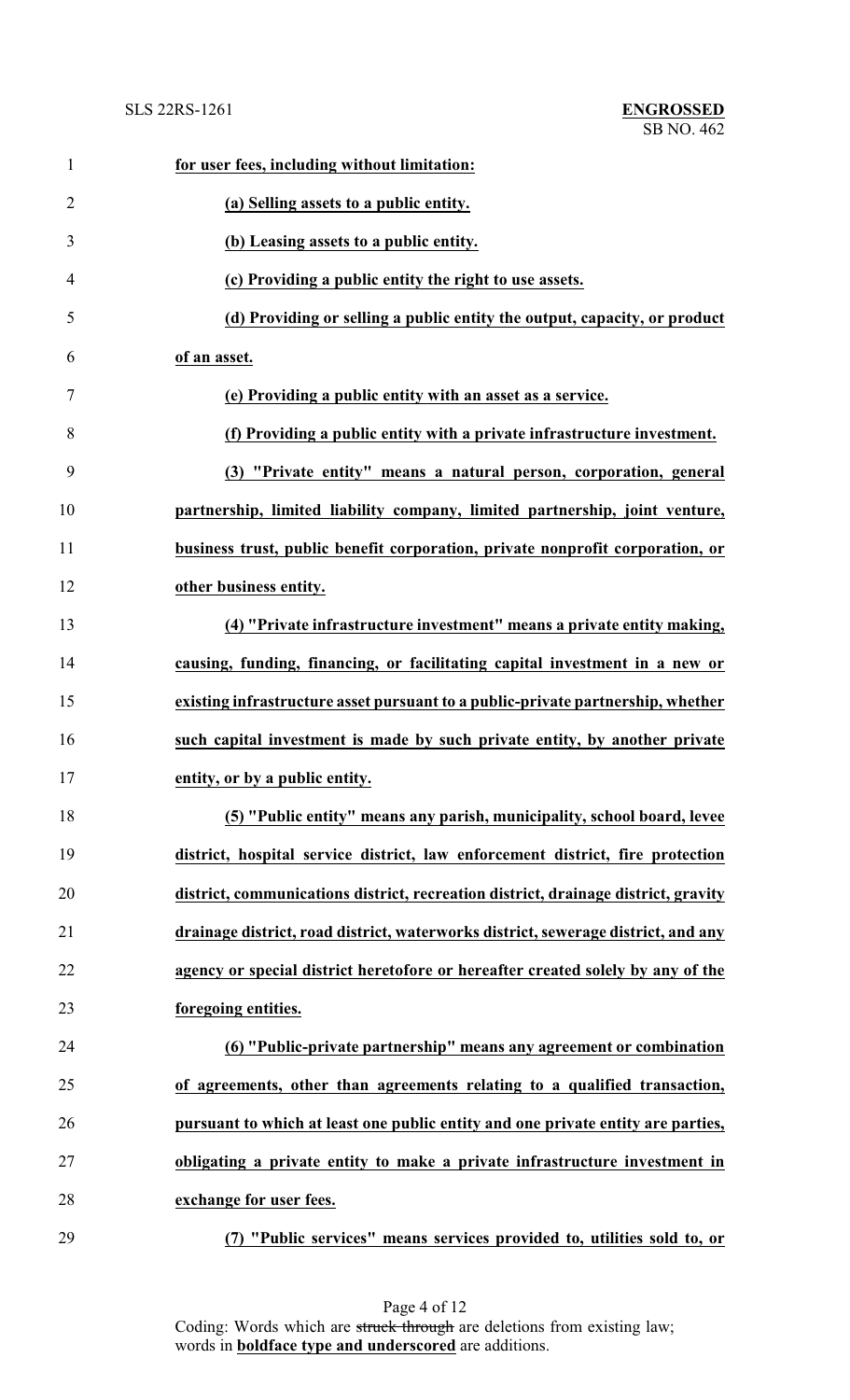| $\mathbf{1}$   | for user fees, including without limitation:                                       |
|----------------|------------------------------------------------------------------------------------|
| $\overline{2}$ | (a) Selling assets to a public entity.                                             |
| 3              | (b) Leasing assets to a public entity.                                             |
| $\overline{4}$ | (c) Providing a public entity the right to use assets.                             |
| 5              | (d) Providing or selling a public entity the output, capacity, or product          |
| 6              | of an asset.                                                                       |
| 7              | (e) Providing a public entity with an asset as a service.                          |
| 8              | (f) Providing a public entity with a private infrastructure investment.            |
| 9              | (3) "Private entity" means a natural person, corporation, general                  |
| 10             | partnership, limited liability company, limited partnership, joint venture,        |
| 11             | business trust, public benefit corporation, private nonprofit corporation, or      |
| 12             | other business entity.                                                             |
| 13             | (4) "Private infrastructure investment" means a private entity making,             |
| 14             | causing, funding, financing, or facilitating capital investment in a new or        |
| 15             | existing infrastructure asset pursuant to a public-private partnership, whether    |
| 16             | such capital investment is made by such private entity, by another private         |
| 17             | entity, or by a public entity.                                                     |
| 18             | (5) "Public entity" means any parish, municipality, school board, levee            |
| 19             | district, hospital service district, law enforcement district, fire protection     |
| 20             | district, communications district, recreation district, drainage district, gravity |
| 21             | drainage district, road district, waterworks district, sewerage district, and any  |
| 22             | agency or special district heretofore or hereafter created solely by any of the    |
| 23             | foregoing entities.                                                                |
| 24             | (6) "Public-private partnership" means any agreement or combination                |
| 25             | of agreements, other than agreements relating to a qualified transaction,          |
| 26             | pursuant to which at least one public entity and one private entity are parties,   |
| 27             | obligating a private entity to make a private infrastructure investment in         |
| 28             | exchange for user fees.                                                            |
| 29             | (7) "Public services" means services provided to, utilities sold to, or            |

Page 4 of 12 Coding: Words which are struck through are deletions from existing law; words in **boldface type and underscored** are additions.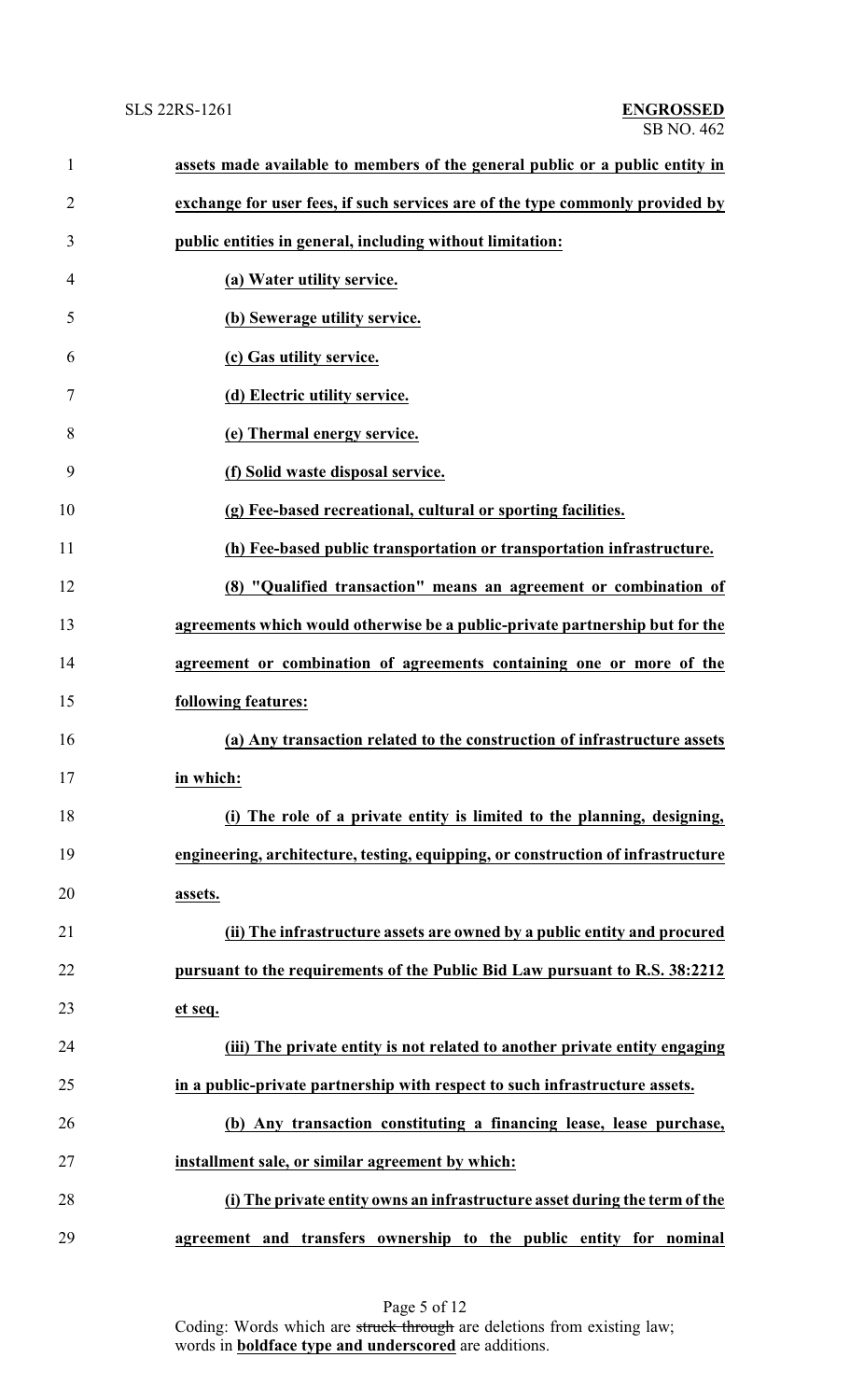| $\mathbf{1}$   | assets made available to members of the general public or a public entity in     |
|----------------|----------------------------------------------------------------------------------|
| $\overline{2}$ | exchange for user fees, if such services are of the type commonly provided by    |
| 3              | public entities in general, including without limitation:                        |
| 4              | (a) Water utility service.                                                       |
| 5              | (b) Sewerage utility service.                                                    |
| 6              | (c) Gas utility service.                                                         |
| 7              | (d) Electric utility service.                                                    |
| 8              | (e) Thermal energy service.                                                      |
| 9              | (f) Solid waste disposal service.                                                |
| 10             | (g) Fee-based recreational, cultural or sporting facilities.                     |
| 11             | (h) Fee-based public transportation or transportation infrastructure.            |
| 12             | (8) "Qualified transaction" means an agreement or combination of                 |
| 13             | agreements which would otherwise be a public-private partnership but for the     |
| 14             | agreement or combination of agreements containing one or more of the             |
| 15             | following features:                                                              |
| 16             | (a) Any transaction related to the construction of infrastructure assets         |
| 17             | in which:                                                                        |
| 18             | (i) The role of a private entity is limited to the planning, designing,          |
| 19             | engineering, architecture, testing, equipping, or construction of infrastructure |
| 20             | assets.                                                                          |
| 21             | (ii) The infrastructure assets are owned by a public entity and procured         |
| 22             | pursuant to the requirements of the Public Bid Law pursuant to R.S. 38:2212      |
| 23             | et seq.                                                                          |
| 24             | (iii) The private entity is not related to another private entity engaging       |
| 25             | in a public-private partnership with respect to such infrastructure assets.      |
| 26             | (b) Any transaction constituting a financing lease, lease purchase,              |
| 27             | installment sale, or similar agreement by which:                                 |
| 28             | (i) The private entity owns an infrastructure asset during the term of the       |
| 29             | agreement and transfers ownership to the public entity for nominal               |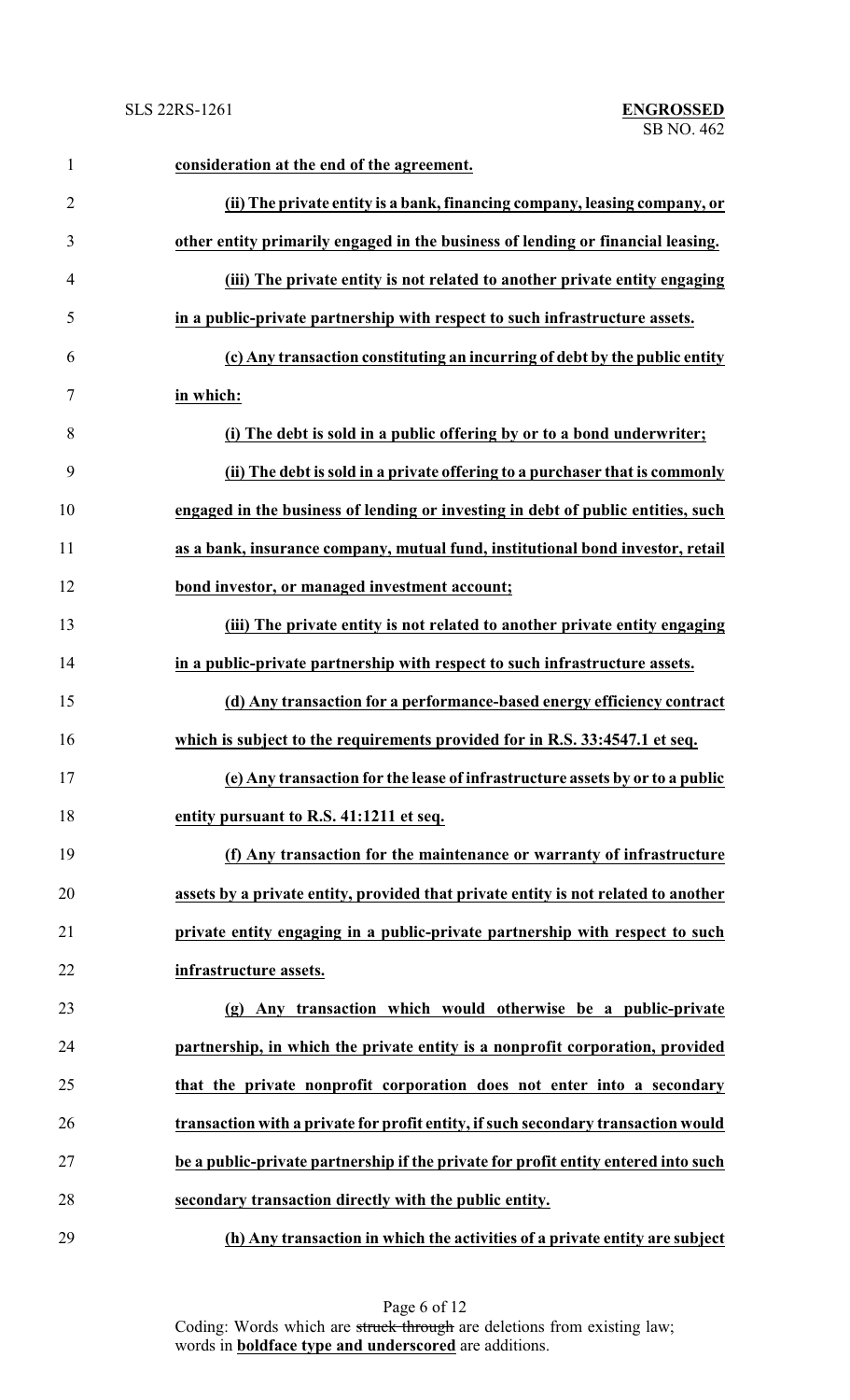| $\mathbf{1}$   | consideration at the end of the agreement.                                         |
|----------------|------------------------------------------------------------------------------------|
| $\overline{2}$ | (ii) The private entity is a bank, financing company, leasing company, or          |
| 3              | other entity primarily engaged in the business of lending or financial leasing.    |
| 4              | (iii) The private entity is not related to another private entity engaging         |
| 5              | in a public-private partnership with respect to such infrastructure assets.        |
| 6              | (c) Any transaction constituting an incurring of debt by the public entity         |
| 7              | in which:                                                                          |
| 8              | (i) The debt is sold in a public offering by or to a bond underwriter;             |
| 9              | (ii) The debt is sold in a private offering to a purchaser that is commonly        |
| 10             | engaged in the business of lending or investing in debt of public entities, such   |
| 11             | as a bank, insurance company, mutual fund, institutional bond investor, retail     |
| 12             | bond investor, or managed investment account;                                      |
| 13             | (iii) The private entity is not related to another private entity engaging         |
| 14             | in a public-private partnership with respect to such infrastructure assets.        |
| 15             | (d) Any transaction for a performance-based energy efficiency contract             |
| 16             | which is subject to the requirements provided for in R.S. 33:4547.1 et seq.        |
| 17             | (e) Any transaction for the lease of infrastructure assets by or to a public       |
| 18             | entity pursuant to R.S. 41:1211 et seq.                                            |
| 19             | (f) Any transaction for the maintenance or warranty of infrastructure              |
| 20             | assets by a private entity, provided that private entity is not related to another |
| 21             | private entity engaging in a public-private partnership with respect to such       |
| 22             | infrastructure assets.                                                             |
| 23             | (g) Any transaction which would otherwise be a public-private                      |
| 24             | partnership, in which the private entity is a nonprofit corporation, provided      |
| 25             | that the private nonprofit corporation does not enter into a secondary             |
| 26             | transaction with a private for profit entity, if such secondary transaction would  |
| 27             | be a public-private partnership if the private for profit entity entered into such |
| 28             | secondary transaction directly with the public entity.                             |
| 29             | (h) Any transaction in which the activities of a private entity are subject        |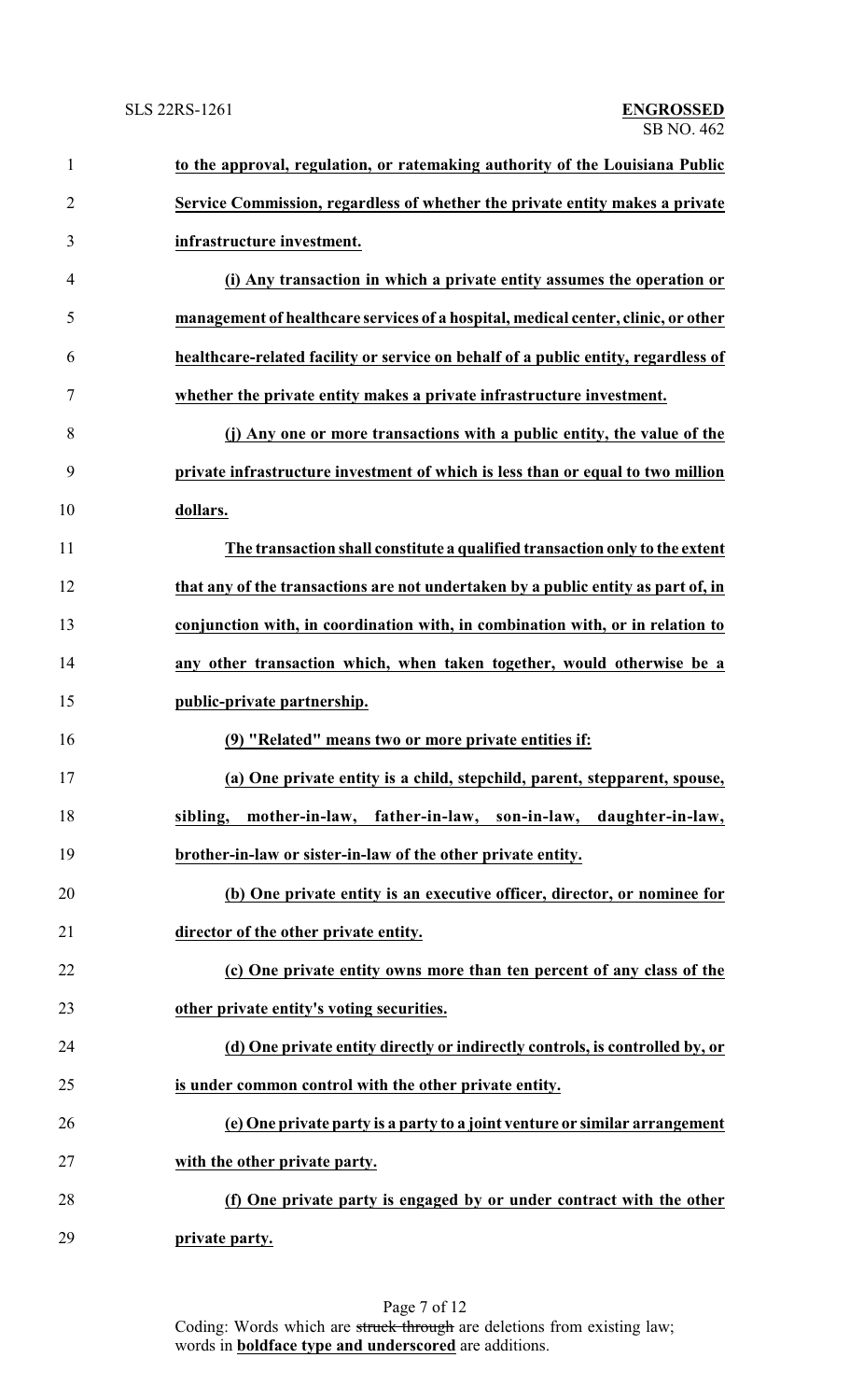| $\mathbf{1}$   | to the approval, regulation, or ratemaking authority of the Louisiana Public       |
|----------------|------------------------------------------------------------------------------------|
| $\overline{2}$ | Service Commission, regardless of whether the private entity makes a private       |
| 3              | infrastructure investment.                                                         |
| 4              | (i) Any transaction in which a private entity assumes the operation or             |
| 5              | management of healthcare services of a hospital, medical center, clinic, or other  |
| 6              | healthcare-related facility or service on behalf of a public entity, regardless of |
| 7              | whether the private entity makes a private infrastructure investment.              |
| 8              | (j) Any one or more transactions with a public entity, the value of the            |
| 9              | private infrastructure investment of which is less than or equal to two million    |
| 10             | dollars.                                                                           |
| 11             | The transaction shall constitute a qualified transaction only to the extent        |
| 12             | that any of the transactions are not undertaken by a public entity as part of, in  |
| 13             | conjunction with, in coordination with, in combination with, or in relation to     |
| 14             | any other transaction which, when taken together, would otherwise be a             |
| 15             | public-private partnership.                                                        |
| 16             | (9) "Related" means two or more private entities if:                               |
| 17             | (a) One private entity is a child, stepchild, parent, stepparent, spouse,          |
| 18             | sibling, mother-in-law, father-in-law, son-in-law, daughter-in-law,                |
| 19             | brother-in-law or sister-in-law of the other private entity.                       |
| 20             | (b) One private entity is an executive officer, director, or nominee for           |
| 21             | director of the other private entity.                                              |
| 22             | (c) One private entity owns more than ten percent of any class of the              |
| 23             | other private entity's voting securities.                                          |
| 24             | (d) One private entity directly or indirectly controls, is controlled by, or       |
| 25             | is under common control with the other private entity.                             |
| 26             | (e) One private party is a party to a joint venture or similar arrangement         |
| 27             | with the other private party.                                                      |
| 28             | (f) One private party is engaged by or under contract with the other               |
| 29             | private party.                                                                     |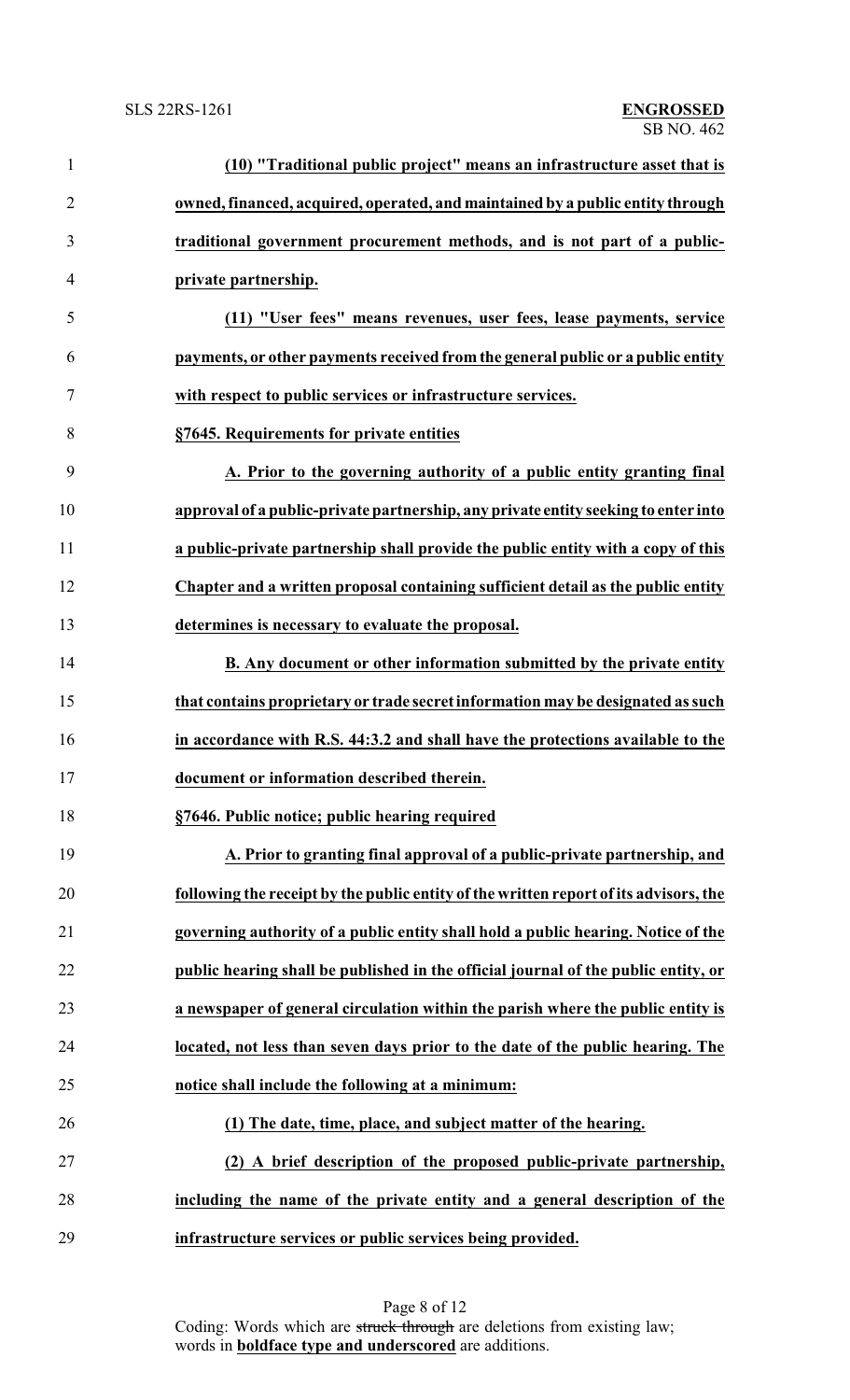| $\mathbf{1}$   | (10) "Traditional public project" means an infrastructure asset that is               |
|----------------|---------------------------------------------------------------------------------------|
| $\overline{2}$ | owned, financed, acquired, operated, and maintained by a public entity through        |
| 3              | traditional government procurement methods, and is not part of a public-              |
| $\overline{4}$ | private partnership.                                                                  |
| 5              | (11) "User fees" means revenues, user fees, lease payments, service                   |
| 6              | payments, or other payments received from the general public or a public entity       |
| $\tau$         | with respect to public services or infrastructure services.                           |
| 8              | §7645. Requirements for private entities                                              |
| 9              | A. Prior to the governing authority of a public entity granting final                 |
| 10             | approval of a public-private partnership, any private entity seeking to enter into    |
| 11             | a public-private partnership shall provide the public entity with a copy of this      |
| 12             | Chapter and a written proposal containing sufficient detail as the public entity      |
| 13             | determines is necessary to evaluate the proposal.                                     |
| 14             | B. Any document or other information submitted by the private entity                  |
| 15             | that contains proprietary or trade secret information may be designated as such       |
| 16             | in accordance with R.S. 44:3.2 and shall have the protections available to the        |
| 17             | document or information described therein.                                            |
| 18             | §7646. Public notice; public hearing required                                         |
| 19             | A. Prior to granting final approval of a public-private partnership, and              |
| 20             | following the receipt by the public entity of the written report of its advisors, the |
| 21             | governing authority of a public entity shall hold a public hearing. Notice of the     |
| 22             | public hearing shall be published in the official journal of the public entity, or    |
| 23             | a newspaper of general circulation within the parish where the public entity is       |
| 24             | located, not less than seven days prior to the date of the public hearing. The        |
| 25             | notice shall include the following at a minimum:                                      |
| 26             | (1) The date, time, place, and subject matter of the hearing.                         |
| 27             | (2) A brief description of the proposed public-private partnership,                   |
| 28             | including the name of the private entity and a general description of the             |
| 29             | infrastructure services or public services being provided.                            |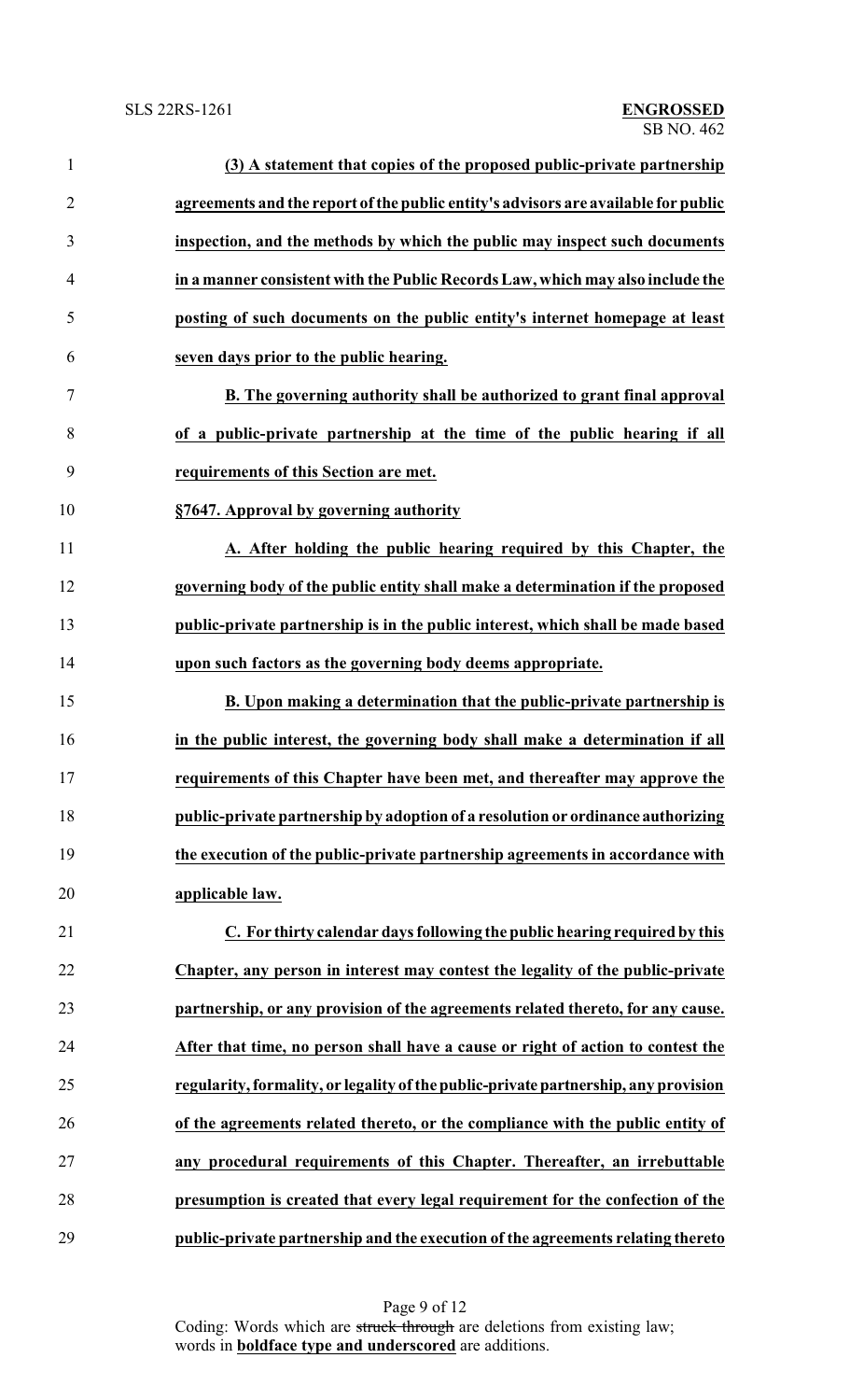| $\mathbf{1}$   | (3) A statement that copies of the proposed public-private partnership              |
|----------------|-------------------------------------------------------------------------------------|
| $\overline{2}$ | agreements and the report of the public entity's advisors are available for public  |
| 3              | inspection, and the methods by which the public may inspect such documents          |
| $\overline{4}$ | in a manner consistent with the Public Records Law, which may also include the      |
| 5              | posting of such documents on the public entity's internet homepage at least         |
| 6              | seven days prior to the public hearing.                                             |
| 7              | B. The governing authority shall be authorized to grant final approval              |
| 8              | of a public-private partnership at the time of the public hearing if all            |
| 9              | requirements of this Section are met.                                               |
| 10             | §7647. Approval by governing authority                                              |
| 11             | A. After holding the public hearing required by this Chapter, the                   |
| 12             | governing body of the public entity shall make a determination if the proposed      |
| 13             | public-private partnership is in the public interest, which shall be made based     |
| 14             | upon such factors as the governing body deems appropriate.                          |
| 15             | B. Upon making a determination that the public-private partnership is               |
| 16             | in the public interest, the governing body shall make a determination if all        |
| 17             | requirements of this Chapter have been met, and thereafter may approve the          |
| 18             | public-private partnership by adoption of a resolution or ordinance authorizing     |
| 19             | the execution of the public-private partnership agreements in accordance with       |
| 20             | applicable law.                                                                     |
| 21             | C. For thirty calendar days following the public hearing required by this           |
| 22             | Chapter, any person in interest may contest the legality of the public-private      |
| 23             | partnership, or any provision of the agreements related thereto, for any cause.     |
| 24             | After that time, no person shall have a cause or right of action to contest the     |
| 25             | regularity, formality, or legality of the public-private partnership, any provision |
| 26             | of the agreements related thereto, or the compliance with the public entity of      |
| 27             | any procedural requirements of this Chapter. Thereafter, an irrebuttable            |
| 28             | presumption is created that every legal requirement for the confection of the       |
| 29             | public-private partnership and the execution of the agreements relating thereto     |

Page 9 of 12 Coding: Words which are struck through are deletions from existing law; words in **boldface type and underscored** are additions.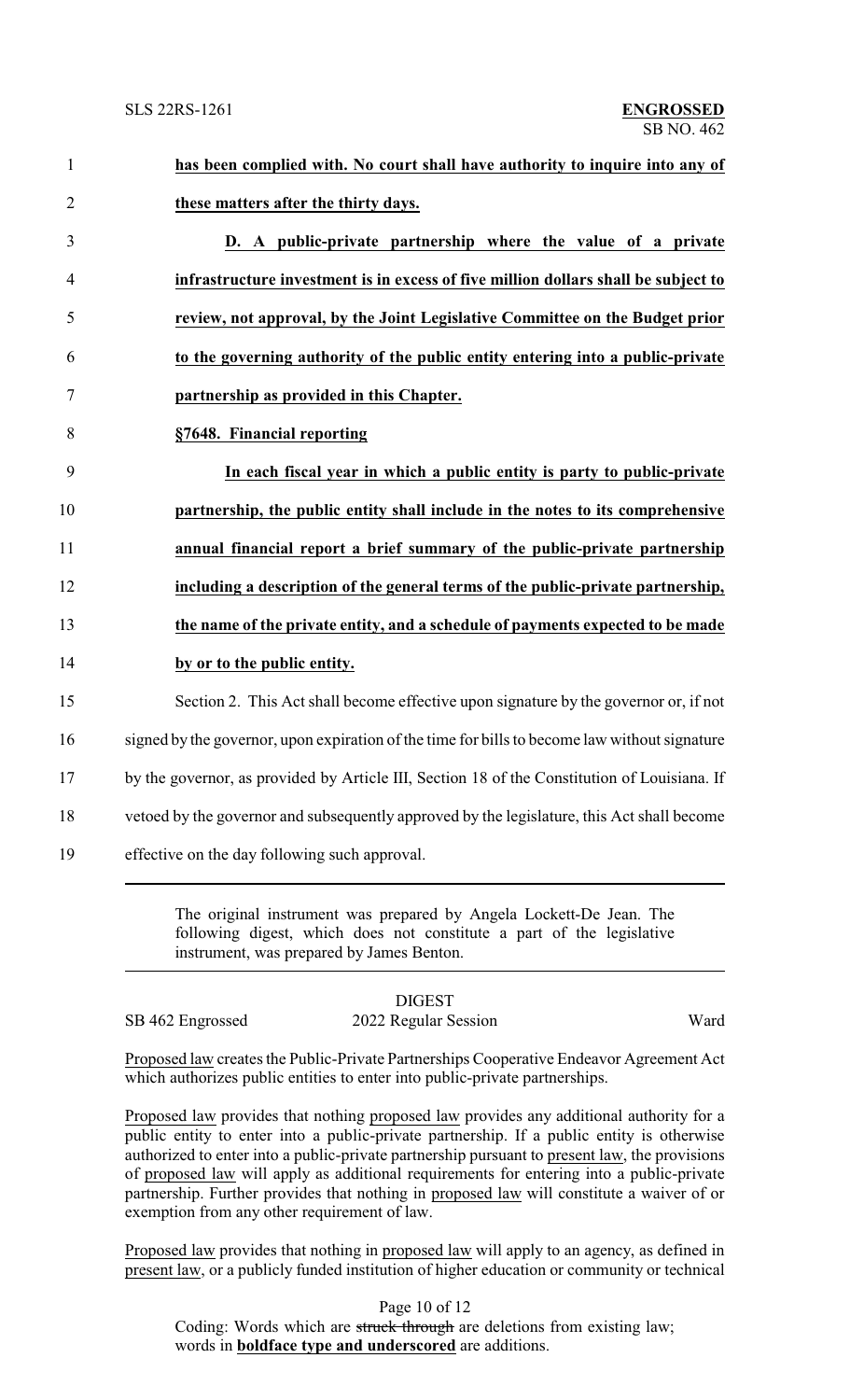| $\mathbf{1}$     | has been complied with. No court shall have authority to inquire into any of                  |
|------------------|-----------------------------------------------------------------------------------------------|
| $\overline{2}$   | these matters after the thirty days.                                                          |
| 3                | D. A public-private partnership where the value of a private                                  |
| $\overline{4}$   | infrastructure investment is in excess of five million dollars shall be subject to            |
| 5                | review, not approval, by the Joint Legislative Committee on the Budget prior                  |
| 6                | to the governing authority of the public entity entering into a public-private                |
| $\boldsymbol{7}$ | partnership as provided in this Chapter.                                                      |
| 8                | §7648. Financial reporting                                                                    |
| 9                | In each fiscal year in which a public entity is party to public-private                       |
| 10               | partnership, the public entity shall include in the notes to its comprehensive                |
| 11               | annual financial report a brief summary of the public-private partnership                     |
| 12               | including a description of the general terms of the public-private partnership,               |
| 13               | the name of the private entity, and a schedule of payments expected to be made                |
| 14               | by or to the public entity.                                                                   |
| 15               | Section 2. This Act shall become effective upon signature by the governor or, if not          |
| 16               | signed by the governor, upon expiration of the time for bills to become law without signature |
| 17               | by the governor, as provided by Article III, Section 18 of the Constitution of Louisiana. If  |
| 18               | vetoed by the governor and subsequently approved by the legislature, this Act shall become    |
| 19               | effective on the day following such approval.                                                 |
|                  |                                                                                               |

The original instrument was prepared by Angela Lockett-De Jean. The following digest, which does not constitute a part of the legislative instrument, was prepared by James Benton.

### DIGEST SB 462 Engrossed 2022 Regular Session Ward

Proposed law creates the Public-Private Partnerships Cooperative Endeavor Agreement Act which authorizes public entities to enter into public-private partnerships.

Proposed law provides that nothing proposed law provides any additional authority for a public entity to enter into a public-private partnership. If a public entity is otherwise authorized to enter into a public-private partnership pursuant to present law, the provisions of proposed law will apply as additional requirements for entering into a public-private partnership. Further provides that nothing in proposed law will constitute a waiver of or exemption from any other requirement of law.

Proposed law provides that nothing in proposed law will apply to an agency, as defined in present law, or a publicly funded institution of higher education or community or technical

Page 10 of 12

Coding: Words which are struck through are deletions from existing law; words in **boldface type and underscored** are additions.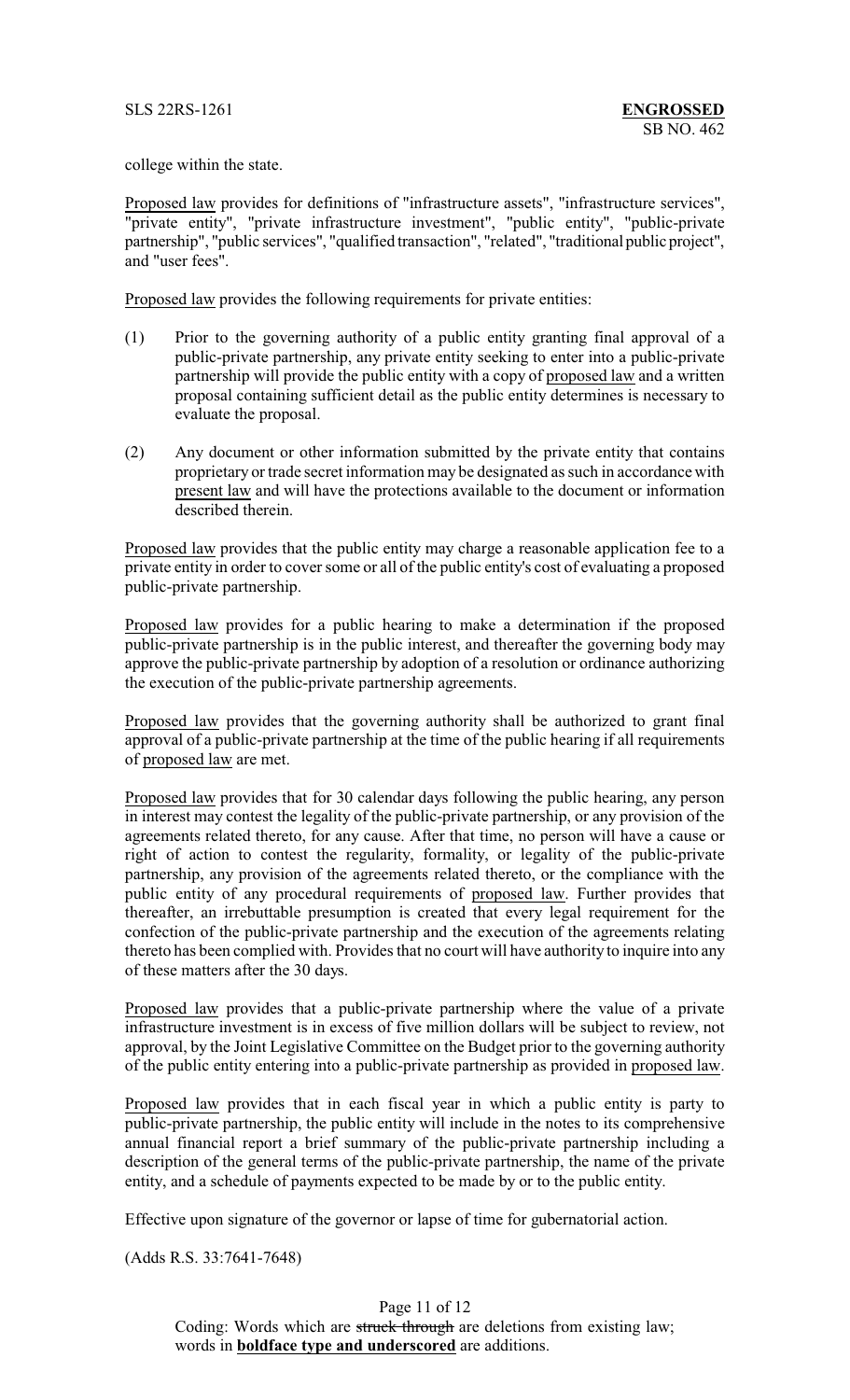college within the state.

Proposed law provides for definitions of "infrastructure assets", "infrastructure services", "private entity", "private infrastructure investment", "public entity", "public-private partnership", "public services", "qualified transaction", "related", "traditional public project", and "user fees".

Proposed law provides the following requirements for private entities:

- (1) Prior to the governing authority of a public entity granting final approval of a public-private partnership, any private entity seeking to enter into a public-private partnership will provide the public entity with a copy of proposed law and a written proposal containing sufficient detail as the public entity determines is necessary to evaluate the proposal.
- (2) Any document or other information submitted by the private entity that contains proprietary or trade secret information may be designated as such in accordance with present law and will have the protections available to the document or information described therein.

Proposed law provides that the public entity may charge a reasonable application fee to a private entity in order to cover some or all of the public entity's cost of evaluating a proposed public-private partnership.

Proposed law provides for a public hearing to make a determination if the proposed public-private partnership is in the public interest, and thereafter the governing body may approve the public-private partnership by adoption of a resolution or ordinance authorizing the execution of the public-private partnership agreements.

Proposed law provides that the governing authority shall be authorized to grant final approval of a public-private partnership at the time of the public hearing if all requirements of proposed law are met.

Proposed law provides that for 30 calendar days following the public hearing, any person in interest may contest the legality of the public-private partnership, or any provision of the agreements related thereto, for any cause. After that time, no person will have a cause or right of action to contest the regularity, formality, or legality of the public-private partnership, any provision of the agreements related thereto, or the compliance with the public entity of any procedural requirements of proposed law. Further provides that thereafter, an irrebuttable presumption is created that every legal requirement for the confection of the public-private partnership and the execution of the agreements relating thereto has been complied with. Provides that no court will have authority to inquire into any of these matters after the 30 days.

Proposed law provides that a public-private partnership where the value of a private infrastructure investment is in excess of five million dollars will be subject to review, not approval, by the Joint Legislative Committee on the Budget prior to the governing authority of the public entity entering into a public-private partnership as provided in proposed law.

Proposed law provides that in each fiscal year in which a public entity is party to public-private partnership, the public entity will include in the notes to its comprehensive annual financial report a brief summary of the public-private partnership including a description of the general terms of the public-private partnership, the name of the private entity, and a schedule of payments expected to be made by or to the public entity.

Effective upon signature of the governor or lapse of time for gubernatorial action.

(Adds R.S. 33:7641-7648)